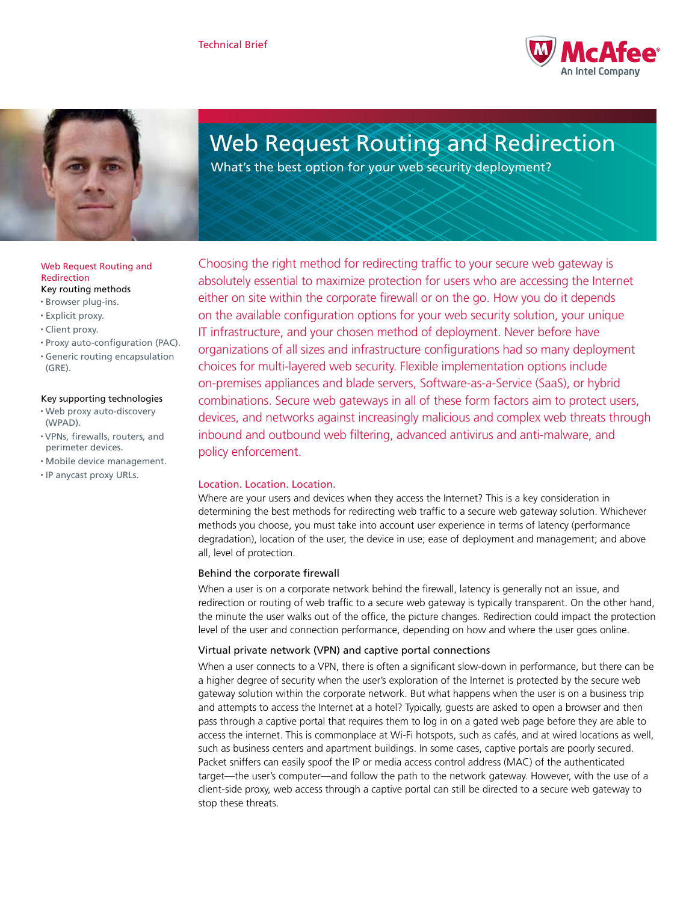



# Web Request Routing and Redirection

What's the best option for your web security deployment?

Choosing the right method for redirecting traffic to your secure web gateway is absolutely essential to maximize protection for users who are accessing the Internet either on site within the corporate firewall or on the go. How you do it depends on the available configuration options for your web security solution, your unique IT infrastructure, and your chosen method of deployment. Never before have organizations of all sizes and infrastructure configurations had so many deployment choices for multi-layered web security. Flexible implementation options include on-premises appliances and blade servers, Software-as-a-Service (SaaS), or hybrid combinations. Secure web gateways in all of these form factors aim to protect users, devices, and networks against increasingly malicious and complex web threats through inbound and outbound web filtering, advanced antivirus and anti-malware, and policy enforcement.

# Location. Location. Location.

Where are your users and devices when they access the Internet? This is a key consideration in determining the best methods for redirecting web traffic to a secure web gateway solution. Whichever methods you choose, you must take into account user experience in terms of latency (performance degradation), location of the user, the device in use; ease of deployment and management; and above all, level of protection.

## Behind the corporate firewall

When a user is on a corporate network behind the firewall, latency is generally not an issue, and redirection or routing of web traffic to a secure web gateway is typically transparent. On the other hand, the minute the user walks out of the office, the picture changes. Redirection could impact the protection level of the user and connection performance, depending on how and where the user goes online.

## Virtual private network (VPN) and captive portal connections

When a user connects to a VPN, there is often a significant slow-down in performance, but there can be a higher degree of security when the user's exploration of the Internet is protected by the secure web gateway solution within the corporate network. But what happens when the user is on a business trip and attempts to access the Internet at a hotel? Typically, guests are asked to open a browser and then pass through a captive portal that requires them to log in on a gated web page before they are able to access the internet. This is commonplace at Wi-Fi hotspots, such as cafés, and at wired locations as well, such as business centers and apartment buildings. In some cases, captive portals are poorly secured. Packet sniffers can easily spoof the IP or media access control address (MAC) of the authenticated target—the user's computer—and follow the path to the network gateway. However, with the use of a client-side proxy, web access through a captive portal can still be directed to a secure web gateway to stop these threats.

#### Web Request Routing and Redirection Key routing methods

- • Browser plug-ins.
- • Explicit proxy.
- • Client proxy.
- • Proxy auto-configuration (PAC).
- • Generic routing encapsulation (GRE).

## Key supporting technologies

- • Web proxy auto-discovery (WPAD).
- • VPNs, firewalls, routers, and perimeter devices.
- • Mobile device management.
- • IP anycast proxy URLs.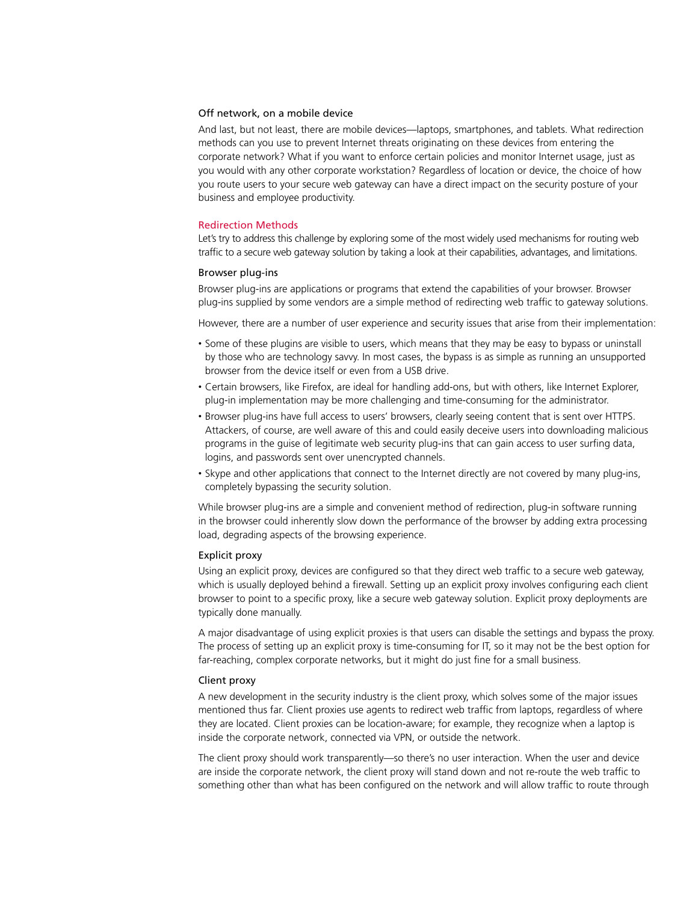## Off network, on a mobile device

And last, but not least, there are mobile devices—laptops, smartphones, and tablets. What redirection methods can you use to prevent Internet threats originating on these devices from entering the corporate network? What if you want to enforce certain policies and monitor Internet usage, just as you would with any other corporate workstation? Regardless of location or device, the choice of how you route users to your secure web gateway can have a direct impact on the security posture of your business and employee productivity.

## Redirection Methods

Let's try to address this challenge by exploring some of the most widely used mechanisms for routing web traffic to a secure web gateway solution by taking a look at their capabilities, advantages, and limitations.

#### Browser plug-ins

Browser plug-ins are applications or programs that extend the capabilities of your browser. Browser plug-ins supplied by some vendors are a simple method of redirecting web traffic to gateway solutions.

However, there are a number of user experience and security issues that arise from their implementation:

- Some of these plugins are visible to users, which means that they may be easy to bypass or uninstall by those who are technology savvy. In most cases, the bypass is as simple as running an unsupported browser from the device itself or even from a USB drive.
- • Certain browsers, like Firefox, are ideal for handling add-ons, but with others, like Internet Explorer, plug-in implementation may be more challenging and time-consuming for the administrator.
- • Browser plug-ins have full access to users' browsers, clearly seeing content that is sent over HTTPS. Attackers, of course, are well aware of this and could easily deceive users into downloading malicious programs in the guise of legitimate web security plug-ins that can gain access to user surfing data, logins, and passwords sent over unencrypted channels.
- • Skype and other applications that connect to the Internet directly are not covered by many plug-ins, completely bypassing the security solution.

While browser plug-ins are a simple and convenient method of redirection, plug-in software running in the browser could inherently slow down the performance of the browser by adding extra processing load, degrading aspects of the browsing experience.

#### Explicit proxy

Using an explicit proxy, devices are configured so that they direct web traffic to a secure web gateway, which is usually deployed behind a firewall. Setting up an explicit proxy involves configuring each client browser to point to a specific proxy, like a secure web gateway solution. Explicit proxy deployments are typically done manually.

A major disadvantage of using explicit proxies is that users can disable the settings and bypass the proxy. The process of setting up an explicit proxy is time-consuming for IT, so it may not be the best option for far-reaching, complex corporate networks, but it might do just fine for a small business.

#### Client proxy

A new development in the security industry is the client proxy, which solves some of the major issues mentioned thus far. Client proxies use agents to redirect web traffic from laptops, regardless of where they are located. Client proxies can be location-aware; for example, they recognize when a laptop is inside the corporate network, connected via VPN, or outside the network.

The client proxy should work transparently—so there's no user interaction. When the user and device are inside the corporate network, the client proxy will stand down and not re-route the web traffic to something other than what has been configured on the network and will allow traffic to route through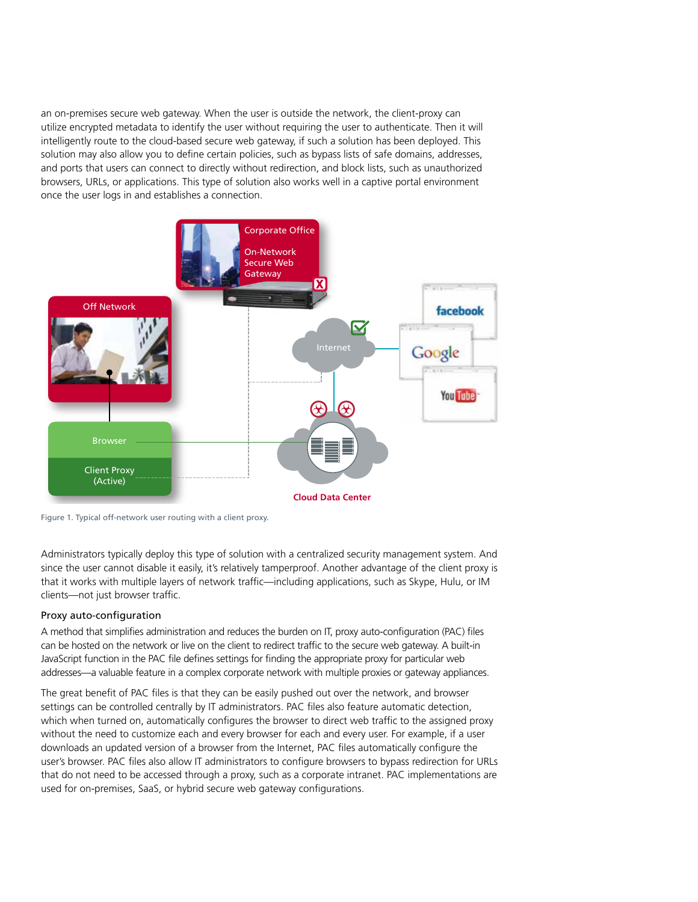an on-premises secure web gateway. When the user is outside the network, the client-proxy can utilize encrypted metadata to identify the user without requiring the user to authenticate. Then it will intelligently route to the cloud-based secure web gateway, if such a solution has been deployed. This solution may also allow you to define certain policies, such as bypass lists of safe domains, addresses, and ports that users can connect to directly without redirection, and block lists, such as unauthorized browsers, URLs, or applications. This type of solution also works well in a captive portal environment once the user logs in and establishes a connection.



Figure 1. Typical off-network user routing with a client proxy.

Administrators typically deploy this type of solution with a centralized security management system. And since the user cannot disable it easily, it's relatively tamperproof. Another advantage of the client proxy is that it works with multiple layers of network traffic—including applications, such as Skype, Hulu, or IM clients—not just browser traffic.

# Proxy auto-configuration

A method that simplifies administration and reduces the burden on IT, proxy auto-configuration (PAC) files can be hosted on the network or live on the client to redirect traffic to the secure web gateway. A built-in JavaScript function in the PAC file defines settings for finding the appropriate proxy for particular web addresses—a valuable feature in a complex corporate network with multiple proxies or gateway appliances.

The great benefit of PAC files is that they can be easily pushed out over the network, and browser settings can be controlled centrally by IT administrators. PAC files also feature automatic detection, which when turned on, automatically configures the browser to direct web traffic to the assigned proxy without the need to customize each and every browser for each and every user. For example, if a user downloads an updated version of a browser from the Internet, PAC files automatically configure the user's browser. PAC files also allow IT administrators to configure browsers to bypass redirection for URLs that do not need to be accessed through a proxy, such as a corporate intranet. PAC implementations are used for on-premises, SaaS, or hybrid secure web gateway configurations.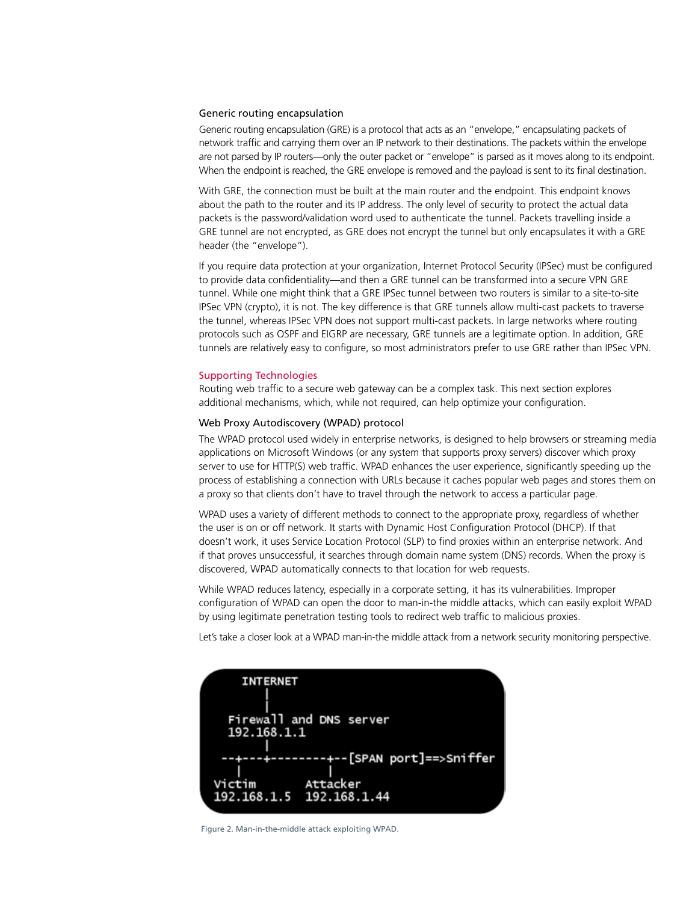#### Generic routing encapsulation

Generic routing encapsulation (GRE) is a protocol that acts as an "envelope," encapsulating packets of network traffic and carrying them over an IP network to their destinations. The packets within the envelope are not parsed by IP routers—only the outer packet or "envelope" is parsed as it moves along to its endpoint. When the endpoint is reached, the GRE envelope is removed and the payload is sent to its final destination.

With GRE, the connection must be built at the main router and the endpoint. This endpoint knows about the path to the router and its IP address. The only level of security to protect the actual data packets is the password/validation word used to authenticate the tunnel. Packets travelling inside a GRE tunnel are not encrypted, as GRE does not encrypt the tunnel but only encapsulates it with a GRE header (the "envelope").

If you require data protection at your organization, Internet Protocol Security (IPSec) must be configured to provide data confidentiality—and then a GRE tunnel can be transformed into a secure VPN GRE tunnel. While one might think that a GRE IPSec tunnel between two routers is similar to a site-to-site IPSec VPN (crypto), it is not. The key difference is that GRE tunnels allow multi-cast packets to traverse the tunnel, whereas IPSec VPN does not support multi-cast packets. In large networks where routing protocols such as OSPF and EIGRP are necessary, GRE tunnels are a legitimate option. In addition, GRE tunnels are relatively easy to configure, so most administrators prefer to use GRE rather than IPSec VPN.

## Supporting Technologies

Routing web traffic to a secure web gateway can be a complex task. This next section explores additional mechanisms, which, while not required, can help optimize your configuration.

## Web Proxy Autodiscovery (WPAD) protocol

The WPAD protocol used widely in enterprise networks, is designed to help browsers or streaming media applications on Microsoft Windows (or any system that supports proxy servers) discover which proxy server to use for HTTP(S) web traffic. WPAD enhances the user experience, significantly speeding up the process of establishing a connection with URLs because it caches popular web pages and stores them on a proxy so that clients don't have to travel through the network to access a particular page.

WPAD uses a variety of different methods to connect to the appropriate proxy, regardless of whether the user is on or off network. It starts with Dynamic Host Configuration Protocol (DHCP). If that doesn't work, it uses Service Location Protocol (SLP) to find proxies within an enterprise network. And if that proves unsuccessful, it searches through domain name system (DNS) records. When the proxy is discovered, WPAD automatically connects to that location for web requests.

While WPAD reduces latency, especially in a corporate setting, it has its vulnerabilities. Improper configuration of WPAD can open the door to man-in-the middle attacks, which can easily exploit WPAD by using legitimate penetration testing tools to redirect web traffic to malicious proxies.

Let's take a closer look at a WPAD man-in-the middle attack from a network security monitoring perspective.



Figure 2. Man-in-the-middle attack exploiting WPAD.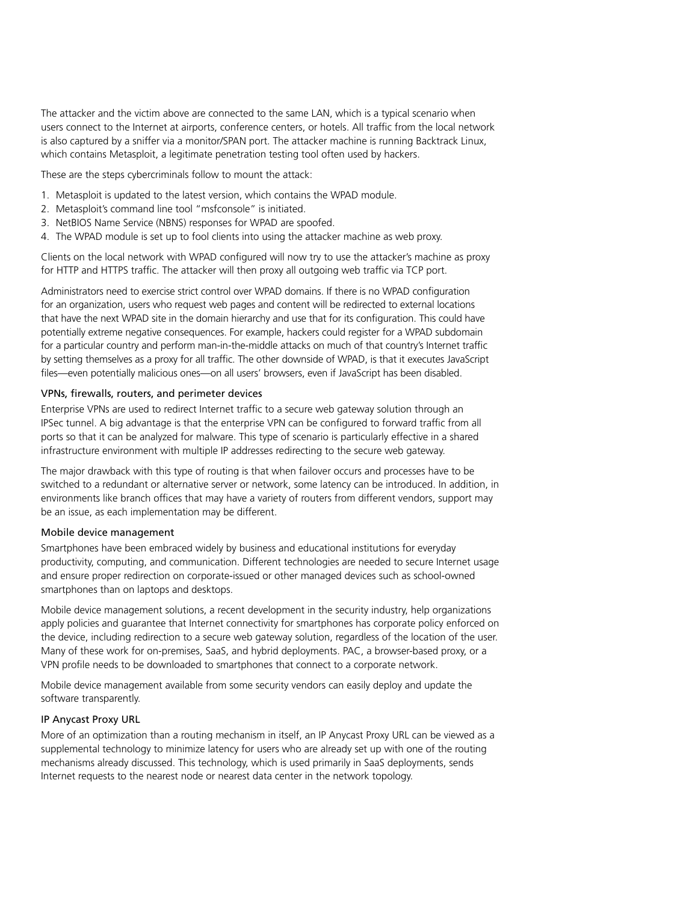The attacker and the victim above are connected to the same LAN, which is a typical scenario when users connect to the Internet at airports, conference centers, or hotels. All traffic from the local network is also captured by a sniffer via a monitor/SPAN port. The attacker machine is running Backtrack Linux, which contains Metasploit, a legitimate penetration testing tool often used by hackers.

These are the steps cybercriminals follow to mount the attack:

- 1. Metasploit is updated to the latest version, which contains the WPAD module.
- 2. Metasploit's command line tool "msfconsole" is initiated.
- 3. NetBIOS Name Service (NBNS) responses for WPAD are spoofed.
- 4. The WPAD module is set up to fool clients into using the attacker machine as web proxy.

Clients on the local network with WPAD configured will now try to use the attacker's machine as proxy for HTTP and HTTPS traffic. The attacker will then proxy all outgoing web traffic via TCP port.

Administrators need to exercise strict control over WPAD domains. If there is no WPAD configuration for an organization, users who request web pages and content will be redirected to external locations that have the next WPAD site in the domain hierarchy and use that for its configuration. This could have potentially extreme negative consequences. For example, hackers could register for a WPAD subdomain for a particular country and perform man-in-the-middle attacks on much of that country's Internet traffic by setting themselves as a proxy for all traffic. The other downside of WPAD, is that it executes JavaScript files—even potentially malicious ones—on all users' browsers, even if JavaScript has been disabled.

## VPNs, firewalls, routers, and perimeter devices

Enterprise VPNs are used to redirect Internet traffic to a secure web gateway solution through an IPSec tunnel. A big advantage is that the enterprise VPN can be configured to forward traffic from all ports so that it can be analyzed for malware. This type of scenario is particularly effective in a shared infrastructure environment with multiple IP addresses redirecting to the secure web gateway.

The major drawback with this type of routing is that when failover occurs and processes have to be switched to a redundant or alternative server or network, some latency can be introduced. In addition, in environments like branch offices that may have a variety of routers from different vendors, support may be an issue, as each implementation may be different.

## Mobile device management

Smartphones have been embraced widely by business and educational institutions for everyday productivity, computing, and communication. Different technologies are needed to secure Internet usage and ensure proper redirection on corporate-issued or other managed devices such as school-owned smartphones than on laptops and desktops.

Mobile device management solutions, a recent development in the security industry, help organizations apply policies and guarantee that Internet connectivity for smartphones has corporate policy enforced on the device, including redirection to a secure web gateway solution, regardless of the location of the user. Many of these work for on-premises, SaaS, and hybrid deployments. PAC, a browser-based proxy, or a VPN profile needs to be downloaded to smartphones that connect to a corporate network.

Mobile device management available from some security vendors can easily deploy and update the software transparently.

## IP Anycast Proxy URL

More of an optimization than a routing mechanism in itself, an IP Anycast Proxy URL can be viewed as a supplemental technology to minimize latency for users who are already set up with one of the routing mechanisms already discussed. This technology, which is used primarily in SaaS deployments, sends Internet requests to the nearest node or nearest data center in the network topology.